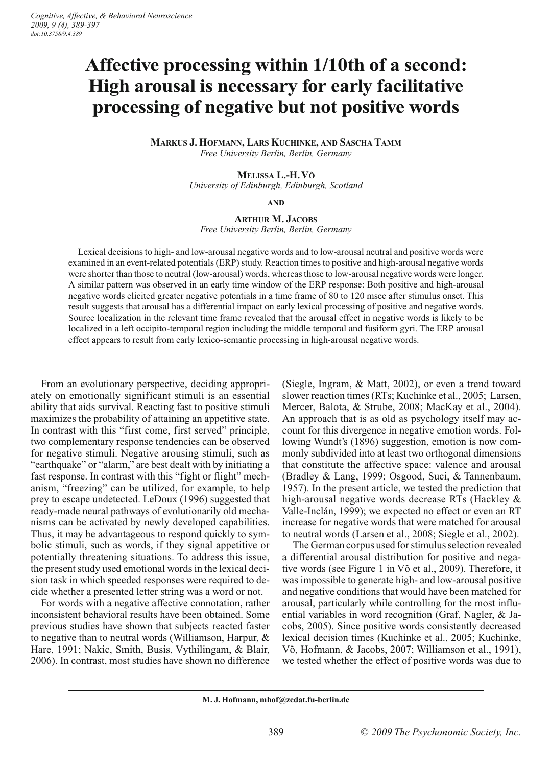# **Affective processing within 1/10th of a second: High arousal is necessary for early facilitative processing of negative but not positive words**

**MARKUS J. HOFMANN, LARS KUCHINKE, AND SASCHA TAMM** *Free University Berlin, Berlin, Germany*

## **MELISSA L.-H. VÕ**

*University of Edinburgh, Edinburgh, Scotland*

**AND**

**ARTHUR M. JACOBS** *Free University Berlin, Berlin, Germany*

Lexical decisions to high- and low-arousal negative words and to low-arousal neutral and positive words were examined in an event-related potentials (ERP) study. Reaction times to positive and high-arousal negative words were shorter than those to neutral (low-arousal) words, whereas those to low-arousal negative words were longer. A similar pattern was observed in an early time window of the ERP response: Both positive and high-arousal negative words elicited greater negative potentials in a time frame of 80 to 120 msec after stimulus onset. This result suggests that arousal has a differential impact on early lexical processing of positive and negative words. Source localization in the relevant time frame revealed that the arousal effect in negative words is likely to be localized in a left occipito-temporal region including the middle temporal and fusiform gyri. The ERP arousal effect appears to result from early lexico-semantic processing in high-arousal negative words.

From an evolutionary perspective, deciding appropriately on emotionally significant stimuli is an essential ability that aids survival. Reacting fast to positive stimuli maximizes the probability of attaining an appetitive state. In contrast with this "first come, first served" principle, two complementary response tendencies can be observed for negative stimuli. Negative arousing stimuli, such as "earthquake" or "alarm," are best dealt with by initiating a fast response. In contrast with this "fight or flight" mechanism, "freezing" can be utilized, for example, to help prey to escape undetected. LeDoux (1996) suggested that ready-made neural pathways of evolutionarily old mechanisms can be activated by newly developed capabilities. Thus, it may be advantageous to respond quickly to symbolic stimuli, such as words, if they signal appetitive or potentially threatening situations. To address this issue, the present study used emotional words in the lexical decision task in which speeded responses were required to decide whether a presented letter string was a word or not.

For words with a negative affective connotation, rather inconsistent behavioral results have been obtained. Some previous studies have shown that subjects reacted faster to negative than to neutral words (Williamson, Harpur, & Hare, 1991; Nakic, Smith, Busis, Vythilingam, & Blair, 2006). In contrast, most studies have shown no difference (Siegle, Ingram, & Matt, 2002), or even a trend toward slower reaction times (RTs; Kuchinke et al., 2005; Larsen, Mercer, Balota, & Strube, 2008; MacKay et al., 2004). An approach that is as old as psychology itself may account for this divergence in negative emotion words. Following Wundt's (1896) suggestion, emotion is now commonly subdivided into at least two orthogonal dimensions that constitute the affective space: valence and arousal (Bradley & Lang, 1999; Osgood, Suci, & Tannenbaum, 1957). In the present article, we tested the prediction that high-arousal negative words decrease RTs (Hackley & Valle-Inclán, 1999); we expected no effect or even an RT increase for negative words that were matched for arousal to neutral words (Larsen et al., 2008; Siegle et al., 2002).

The German corpus used for stimulus selection revealed a differential arousal distribution for positive and negative words (see Figure 1 in Võ et al., 2009). Therefore, it was impossible to generate high- and low-arousal positive and negative conditions that would have been matched for arousal, particularly while controlling for the most influential variables in word recognition (Graf, Nagler, & Jacobs, 2005). Since positive words consistently decreased lexical decision times (Kuchinke et al., 2005; Kuchinke, Võ, Hofmann, & Jacobs, 2007; Williamson et al., 1991), we tested whether the effect of positive words was due to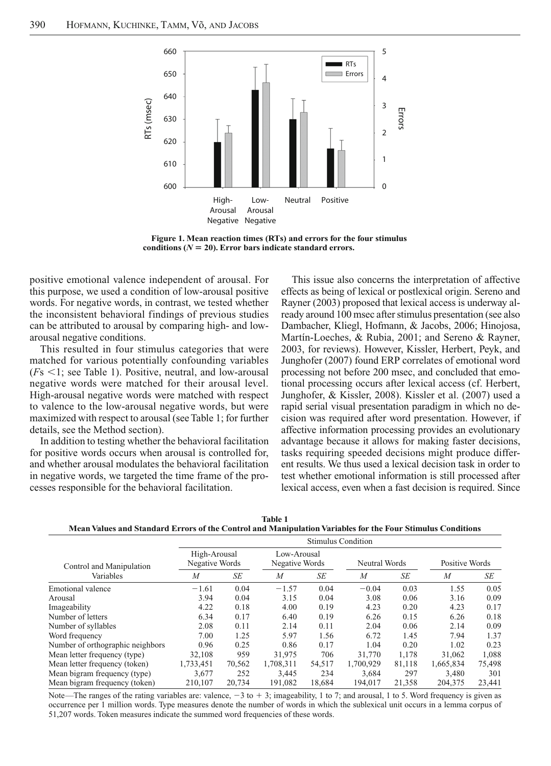

**Figure 1. Mean reaction times (RTs) and errors for the four stimulus**  conditions  $(N = 20)$ . Error bars indicate standard errors.

positive emotional valence independent of arousal. For this purpose, we used a condition of low-arousal positive words. For negative words, in contrast, we tested whether the inconsistent behavioral findings of previous studies can be attributed to arousal by comparing high- and lowarousal negative conditions.

This resulted in four stimulus categories that were matched for various potentially confounding variables  $(Fs \leq 1$ ; see Table 1). Positive, neutral, and low-arousal negative words were matched for their arousal level. High-arousal negative words were matched with respect to valence to the low-arousal negative words, but were maximized with respect to arousal (see Table 1; for further details, see the Method section). Cesses responsible for the behavioral facilitations corresponsible for the behavioral facilities, are the behavioral facilities, the positive emotional value of this purpose, we used a condition of low-arousal words. For

In addition to testing whether the behavioral facilitation for positive words occurs when arousal is controlled for, and whether arousal modulates the behavioral facilitation in negative words, we targeted the time frame of the pro-

This issue also concerns the interpretation of affective effects as being of lexical or postlexical origin. Sereno and Rayner (2003) proposed that lexical access is underway already around 100 msec after stimulus presentation (see also Dambacher, Kliegl, Hofmann, & Jacobs, 2006; Hinojosa, Martín-Loeches, & Rubia, 2001; and Sereno & Rayner, 2003, for reviews). However, Kissler, Herbert, Peyk, and Junghofer (2007) found ERP correlates of emotional word processing not before 200 msec, and concluded that emotional processing occurs after lexical access (cf. Herbert, Junghofer, & Kissler, 2008). Kissler et al. (2007) used a rapid serial visual presentation paradigm in which no decision was required after word presentation. However, if affective information processing provides an evolutionary advantage because it allows for making faster decisions, tasks requiring speeded decisions might produce different results. We thus used a lexical decision task in order to test whether emotional information is still processed after lexical access, even when a fast decision is required. Since

**Table 1** 

**Mean Values and Standard Errors of the Control and Manipulation Variables for the Four Stimulus Conditions**

|                                  | <b>Stimulus Condition</b>      |        |                               |        |                |        |                  |        |  |  |
|----------------------------------|--------------------------------|--------|-------------------------------|--------|----------------|--------|------------------|--------|--|--|
| Control and Manipulation         | High-Arousal<br>Negative Words |        | Low-Arousal<br>Negative Words |        | Neutral Words  |        | Positive Words   |        |  |  |
| Variables                        | $\overline{M}$                 | SE     | $\boldsymbol{M}$              | SE     | $\overline{M}$ | SE     | $\boldsymbol{M}$ | SE     |  |  |
| Emotional valence                | $-1.61$                        | 0.04   | $-1.57$                       | 0.04   | $-0.04$        | 0.03   | 1.55             | 0.05   |  |  |
| Arousal                          | 3.94                           | 0.04   | 3.15                          | 0.04   | 3.08           | 0.06   | 3.16             | 0.09   |  |  |
| Imageability                     | 4.22                           | 0.18   | 4.00                          | 0.19   | 4.23           | 0.20   | 4.23             | 0.17   |  |  |
| Number of letters                | 6.34                           | 0.17   | 6.40                          | 0.19   | 6.26           | 0.15   | 6.26             | 0.18   |  |  |
| Number of syllables              | 2.08                           | 0.11   | 2.14                          | 0.11   | 2.04           | 0.06   | 2.14             | 0.09   |  |  |
| Word frequency                   | 7.00                           | 1.25   | 5.97                          | 1.56   | 6.72           | 1.45   | 7.94             | 1.37   |  |  |
| Number of orthographic neighbors | 0.96                           | 0.25   | 0.86                          | 0.17   | 1.04           | 0.20   | 1.02             | 0.23   |  |  |
| Mean letter frequency (type)     | 32.108                         | 959    | 31.975                        | 706    | 31,770         | 1.178  | 31,062           | 1,088  |  |  |
| Mean letter frequency (token)    | 1,733,451                      | 70,562 | 1,708,311                     | 54,517 | 1.700.929      | 81,118 | 1,665,834        | 75,498 |  |  |
| Mean bigram frequency (type)     | 3,677                          | 252    | 3,445                         | 234    | 3,684          | 297    | 3,480            | 301    |  |  |
| Mean bigram frequency (token)    | 210,107                        | 20.734 | 191,082                       | 18.684 | 194,017        | 21,358 | 204,375          | 23,441 |  |  |

Note—The ranges of the rating variables are: valence,  $-3$  to  $+3$ ; imageability, 1 to 7; and arousal, 1 to 5. Word frequency is given as occurrence per 1 million words. Type measures denote the number of words in which the sublexical unit occurs in a lemma corpus of 51,207 words. Token measures indicate the summed word frequencies of these words.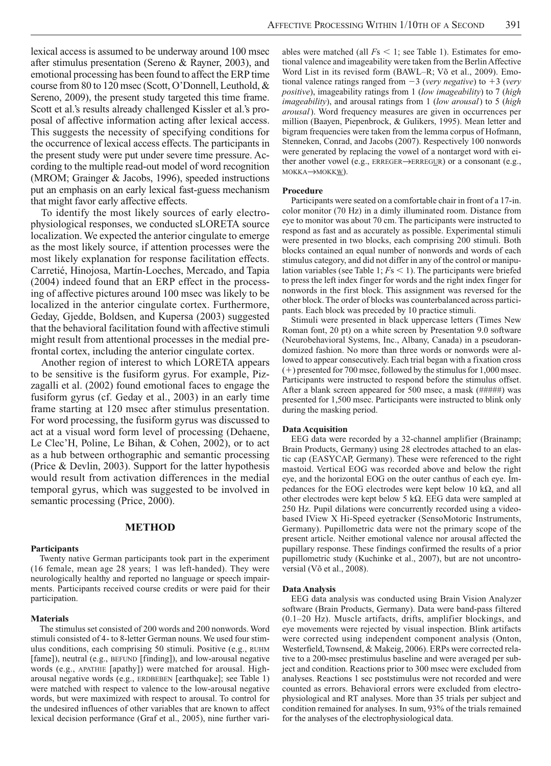lexical access is assumed to be underway around 100 msec after stimulus presentation (Sereno & Rayner, 2003), and emotional processing has been found to affect the ERP time course from 80 to 120 msec (Scott, O'Donnell, Leuthold, & Sereno, 2009), the present study targeted this time frame. Scott et al.'s results already challenged Kissler et al.'s proposal of affective information acting after lexical access. This suggests the necessity of specifying conditions for the occurrence of lexical access effects. The participants in the present study were put under severe time pressure. According to the multiple read-out model of word recognition (MROM; Grainger & Jacobs, 1996), speeded instructions put an emphasis on an early lexical fast-guess mechanism that might favor early affective effects.

To identify the most likely sources of early electrophysiological responses, we conducted sLORETA source localization. We expected the anterior cingulate to emerge as the most likely source, if attention processes were the most likely explanation for response facilitation effects. Carretié, Hinojosa, Martín-Loeches, Mercado, and Tapia (2004) indeed found that an ERP effect in the processing of affective pictures around 100 msec was likely to be localized in the anterior cingulate cortex. Furthermore, Geday, Gjedde, Boldsen, and Kupersa (2003) suggested that the behavioral facilitation found with affective stimuli might result from attentional processes in the medial prefrontal cortex, including the anterior cingulate cortex.

Another region of interest to which LORETA appears to be sensitive is the fusiform gyrus. For example, Pizzagalli et al. (2002) found emotional faces to engage the fusiform gyrus (cf. Geday et al., 2003) in an early time frame starting at 120 msec after stimulus presentation. For word processing, the fusiform gyrus was discussed to act at a visual word form level of processing (Dehaene, Le Clec'H, Poline, Le Bihan, & Cohen, 2002), or to act as a hub between orthographic and semantic processing (Price & Devlin, 2003). Support for the latter hypothesis would result from activation differences in the medial temporal gyrus, which was suggested to be involved in semantic processing (Price, 2000).

# **METHOD**

### **Participants**

Twenty native German participants took part in the experiment (16 female, mean age 28 years; 1 was left-handed). They were neurologically healthy and reported no language or speech impairments. Participants received course credits or were paid for their participation.

## **Materials**

The stimulus set consisted of 200 words and 200 nonwords. Word stimuli consisted of 4- to 8-letter German nouns. We used four stimulus conditions, each comprising 50 stimuli. Positive (e.g., RUHM [fame]), neutral (e.g., BEFUND [finding]), and low-arousal negative words (e.g., APATHIE [apathy]) were matched for arousal. Higharousal negative words (e.g., ERDBEBEN [earthquake]; see Table 1) were matched with respect to valence to the low-arousal negative words, but were maximized with respect to arousal. To control for the undesired influences of other variables that are known to affect lexical decision performance (Graf et al., 2005), nine further variables were matched (all  $Fs < 1$ ; see Table 1). Estimates for emotional valence and imageability were taken from the Berlin Affective Word List in its revised form (BAWL–R; Võ et al., 2009). Emotional valence ratings ranged from  $-3$  (*very negative*) to  $+3$  (*very positive*), imageability ratings from 1 (*low imageability*) to 7 (*high imageability*), and arousal ratings from 1 (*low arousal*) to 5 (*high arousal*). Word frequency measures are given in occurrences per million (Baayen, Piepenbrock, & Gulikers, 1995). Mean letter and bigram frequencies were taken from the lemma corpus of Hofmann, Stenneken, Conrad, and Jacobs (2007). Respectively 100 nonwords were generated by replacing the vowel of a nontarget word with either another vowel (e.g.,  $ERREGER \rightarrow ERREGUR$ ) or a consonant (e.g., MOKKA->MOKKW).

#### **Procedure**

Participants were seated on a comfortable chair in front of a 17-in. color monitor (70 Hz) in a dimly illuminated room. Distance from eye to monitor was about 70 cm. The participants were instructed to respond as fast and as accurately as possible. Experimental stimuli were presented in two blocks, each comprising 200 stimuli. Both blocks contained an equal number of nonwords and words of each stimulus category, and did not differ in any of the control or manipulation variables (see Table 1;  $Fs < 1$ ). The participants were briefed to press the left index finger for words and the right index finger for nonwords in the first block. This assignment was reversed for the other block. The order of blocks was counterbalanced across participants. Each block was preceded by 10 practice stimuli.

Stimuli were presented in black uppercase letters (Times New Roman font, 20 pt) on a white screen by Presentation 9.0 software (Neurobehavioral Systems, Inc., Albany, Canada) in a pseudorandomized fashion. No more than three words or nonwords were allowed to appear consecutively. Each trial began with a fixation cross  $(+)$  presented for 700 msec, followed by the stimulus for 1,000 msec. Participants were instructed to respond before the stimulus offset. After a blank screen appeared for 500 msec, a mask (#####) was presented for 1,500 msec. Participants were instructed to blink only during the masking period.

## **Data Acquisition**

EEG data were recorded by a 32-channel amplifier (Brainamp; Brain Products, Germany) using 28 electrodes attached to an elastic cap (EASYCAP, Germany). These were referenced to the right mastoid. Vertical EOG was recorded above and below the right eye, and the horizontal EOG on the outer canthus of each eye. Impedances for the EOG electrodes were kept below 10  $k\Omega$ , and all other electrodes were kept below 5 k $\Omega$ . EEG data were sampled at 250 Hz. Pupil dilations were concurrently recorded using a videobased IView X Hi-Speed eyetracker (SensoMotoric Instruments, Germany). Pupillometric data were not the primary scope of the present article. Neither emotional valence nor arousal affected the pupillary response. These findings confirmed the results of a prior pupillometric study (Kuchinke et al., 2007), but are not uncontroversial (Võ et al., 2008).

#### **Data Analysis**

EEG data analysis was conducted using Brain Vision Analyzer software (Brain Products, Germany). Data were band-pass filtered (0.1–20 Hz). Muscle artifacts, drifts, amplifier blockings, and eye movements were rejected by visual inspection. Blink artifacts were corrected using independent component analysis (Onton, Westerfield, Townsend, & Makeig, 2006). ERPs were corrected relative to a 200-msec prestimulus baseline and were averaged per subject and condition. Reactions prior to 300 msec were excluded from analyses. Reactions 1 sec poststimulus were not recorded and were counted as errors. Behavioral errors were excluded from electrophysiological and RT analyses. More than 35 trials per subject and condition remained for analyses. In sum, 93% of the trials remained for the analyses of the electrophysiological data.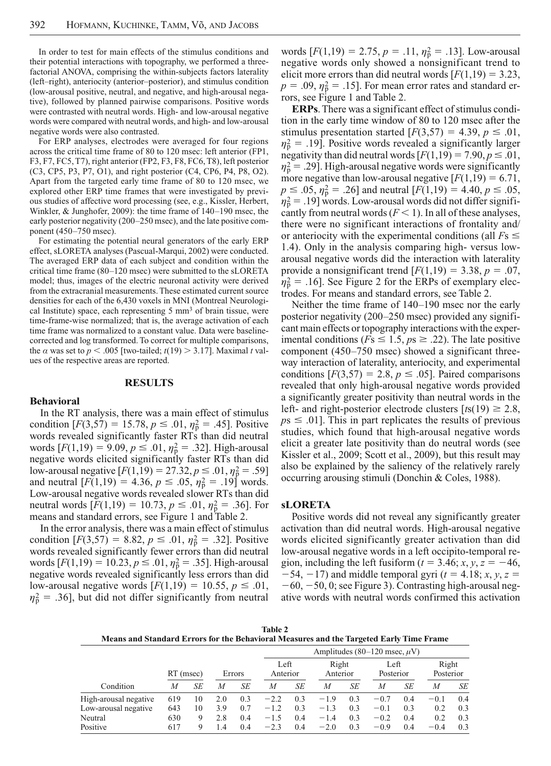In order to test for main effects of the stimulus conditions and their potential interactions with topography, we performed a threefactorial ANOVA, comprising the within-subjects factors laterality (left–right), anteriocity (anterior–posterior), and stimulus condition (low-arousal positive, neutral, and negative, and high-arousal negative), followed by planned pairwise comparisons. Positive words were contrasted with neutral words. High- and low-arousal negative words were compared with neutral words, and high- and low-arousal negative words were also contrasted.

For ERP analyses, electrodes were averaged for four regions across the critical time frame of 80 to 120 msec: left anterior (FP1, F3, F7, FC5, T7), right anterior (FP2, F3, F8, FC6, T8), left posterior (C3, CP5, P3, P7, O1), and right posterior (C4, CP6, P4, P8, O2). Apart from the targeted early time frame of 80 to 120 msec, we explored other ERP time frames that were investigated by previous studies of affective word processing (see, e.g., Kissler, Herbert, Winkler, & Junghofer, 2009): the time frame of 140–190 msec, the early posterior negativity (200–250 msec), and the late positive component (450–750 msec).

For estimating the potential neural generators of the early ERP effect, sLORETA analyses (Pascual-Marqui, 2002) were conducted. The averaged ERP data of each subject and condition within the critical time frame (80–120 msec) were submitted to the sLORETA model; thus, images of the electric neuronal activity were derived from the extracranial measurements. These estimated current source densities for each of the 6,430 voxels in MNI (Montreal Neurological Institute) space, each representing 5 mm3 of brain tissue, were time-frame-wise normalized; that is, the average activation of each time frame was normalized to a constant value. Data were baselinecorrected and log transformed. To correct for multiple comparisons, the  $\alpha$  was set to  $p < .005$  [two-tailed;  $t(19) > 3.17$ ]. Maximal *t* values of the respective areas are reported.

## **RESULTS**

## **Behavioral**

In the RT analysis, there was a main effect of stimulus condition  $[F(3,57) = 15.78, p \le .01, \eta_p^2 = .45]$ . Positive words revealed significantly faster RTs than did neutral words  $[F(1,19) = 9.09, p \le .01, \eta_{\rm p}^2 = .32]$ . High-arousal negative words elicited significantly faster RTs than did low-arousal negative  $[F(1,19) = 27.32, p \le .01, \eta_{p}^{2} = .59]$ and neutral  $[F(1,19) = 4.36, p \le .05, \eta_{p}^{2} = .19]$  words. Low-arousal negative words revealed slower RTs than did neutral words  $[F(1,19) = 10.73, p \le .01, \eta_p^2 = .36]$ . For means and standard errors, see Figure 1 and Table 2.

In the error analysis, there was a main effect of stimulus condition  $[F(3,57) = 8.82, p \le .01, \eta_p^2 = .32]$ . Positive words revealed significantly fewer errors than did neutral words  $[F(1,19) = 10.23, p \le .01, \eta_p^2 = .35]$ . High-arousal negative words revealed significantly less errors than did low-arousal negative words  $[F(1,19) = 10.55, p \le .01,$  $\eta_p^2$  = .36], but did not differ significantly from neutral

words  $[F(1,19) = 2.75, p = .11, \eta_p^2 = .13]$ . Low-arousal negative words only showed a nonsignificant trend to elicit more errors than did neutral words  $[F(1,19) = 3.23]$ ,  $p = .09$ ,  $\eta_{\rm p}^2 = .15$ . For mean error rates and standard errors, see Figure 1 and Table 2.

**ERPs**. There was a significant effect of stimulus condition in the early time window of 80 to 120 msec after the stimulus presentation started  $[F(3,57) = 4.39, p \le .01,$  $\eta_p^2 = .19$ . Positive words revealed a significantly larger negativity than did neutral words  $[F(1,19) = 7.90, p \le .01,$  $\eta_p^2$  = .29]. High-arousal negative words were significantly more negative than low-arousal negative  $[F(1,19) = 6.71]$ ,  $p \leq .05$ ,  $\eta_{\rm p}^2 = .26$ ] and neutral  $[F(1,19) = 4.40, p \leq .05,$  $\eta_p^2$  = .19] words. Low-arousal words did not differ significantly from neutral words  $(F < 1)$ . In all of these analyses, there were no significant interactions of frontality and/ or anteriocity with the experimental conditions (all  $Fs \leq$ 1.4). Only in the analysis comparing high- versus lowarousal negative words did the interaction with laterality provide a nonsignificant trend  $[F(1,19) = 3.38, p = .07,$  $\eta_p^2 = .16$ . See Figure 2 for the ERPs of exemplary electrodes. For means and standard errors, see Table 2.

Neither the time frame of 140–190 msec nor the early posterior negativity (200–250 msec) provided any significant main effects or topography interactions with the experimental conditions ( $Fs \leq 1.5, ps \geq .22$ ). The late positive component (450–750 msec) showed a significant threeway interaction of laterality, anteriocity, and experimental conditions  $[F(3,57) = 2.8, p \le .05]$ . Paired comparisons revealed that only high-arousal negative words provided a significantly greater positivity than neutral words in the left- and right-posterior electrode clusters  $[ts(19) \ge 2.8$ ,  $p s \leq .01$ . This in part replicates the results of previous studies, which found that high-arousal negative words elicit a greater late positivity than do neutral words (see Kissler et al., 2009; Scott et al., 2009), but this result may also be explained by the saliency of the relatively rarely occurring arousing stimuli (Donchin & Coles, 1988).

## **sLORETA**

Positive words did not reveal any significantly greater activation than did neutral words. High-arousal negative words elicited significantly greater activation than did low-arousal negative words in a left occipito- temporal region, including the left fusiform  $(t = 3.46; x, y, z = -46,$  $-54$ ,  $-17$ ) and middle temporal gyri ( $t = 4.18$ ;  $x, y, z =$  $-60, -50, 0$ ; see Figure 3). Contrasting high-arousal negative words with neutral words confirmed this activation

| <b>Table 2</b>                                                                          |  |  |  |  |  |  |  |
|-----------------------------------------------------------------------------------------|--|--|--|--|--|--|--|
| Means and Standard Errors for the Behavioral Measures and the Targeted Early Time Frame |  |  |  |  |  |  |  |

|                       |             |    |         |        | Amplitudes (80–120 msec, $\mu$ V) |                  |        |                   |        |                   |        |                    |  |  |
|-----------------------|-------------|----|---------|--------|-----------------------------------|------------------|--------|-------------------|--------|-------------------|--------|--------------------|--|--|
|                       | $RT$ (msec) |    |         | Errors |                                   | Left<br>Anterior |        | Right<br>Anterior |        | Left<br>Posterior |        | Right<br>Posterior |  |  |
| Condition             | М           | SE | M       | SE     | M                                 | SE               | М      | SE                | М      | SE                | M      | SE                 |  |  |
| High-arousal negative | 619         | 10 | 2.0     | 0.3    | $-2.2$                            | 0.3              | $-1.9$ | 0.3               | $-0.7$ | 0.4               | $-0.1$ | 0.4                |  |  |
| Low-arousal negative  | 643         | 10 | 3.9     | 0.7    | $-1.2$                            | 0.3              | $-1.3$ | 0.3               | $-0.1$ | 0.3               | 0.2    | 0.3                |  |  |
| Neutral               | 630         | Q  | 2.8     | 0.4    | $-1.5$                            | 0.4              | $-1.4$ | 0.3               | $-0.2$ | 0.4               | 0.2    | 0.3                |  |  |
| Positive              | 617         | Q  | $\cdot$ | 0.4    | $-2.3$                            | 0.4              | $-2.0$ | 0.3               | $-0.9$ | 0.4               | $-0.4$ | 0.3                |  |  |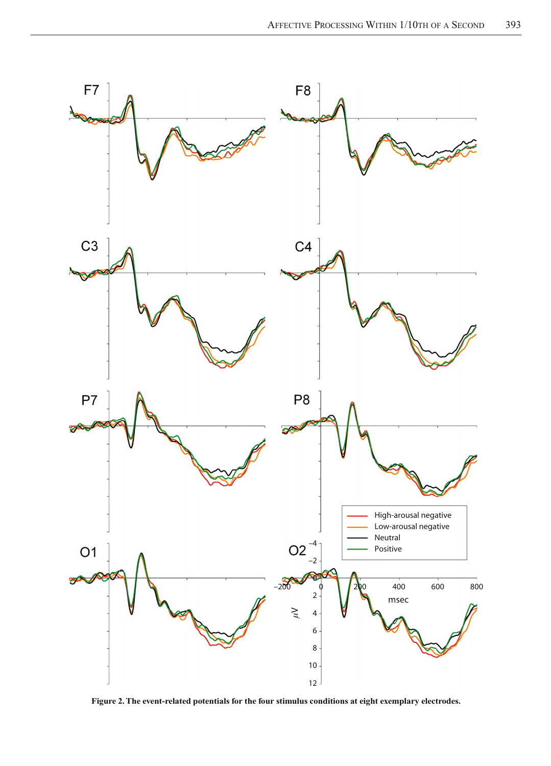

**Figure 2. The event-related potentials for the four stimulus conditions at eight exemplary electrodes.**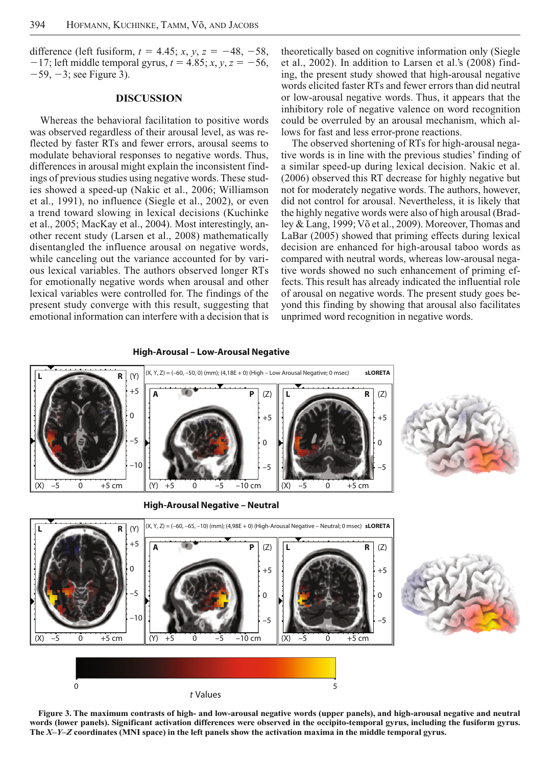difference (left fusiform,  $t = 4.45$ ;  $x, y, z = -48, -58$ ,  $-17$ ; left middle temporal gyrus,  $t = 4.85$ ;  $x, y, z = -56$ ,  $-59, -3$ ; see Figure 3).

## **DISCUSSION**

Whereas the behavioral facilitation to positive words was observed regardless of their arousal level, as was reflected by faster RTs and fewer errors, arousal seems to modulate behavioral responses to negative words. Thus, differences in arousal might explain the inconsistent findings of previous studies using negative words. These studies showed a speed-up (Nakic et al., 2006; Williamson et al., 1991), no influence (Siegle et al., 2002), or even a trend toward slowing in lexical decisions (Kuchinke et al., 2005; MacKay et al., 2004). Most interestingly, another recent study (Larsen et al., 2008) mathematically disentangled the influence arousal on negative words, while canceling out the variance accounted for by various lexical variables. The authors observed longer RTs for emotionally negative words when arousal and other lexical variables were controlled for. The findings of the present study converge with this result, suggesting that emotional information can interfere with a decision that is

theoretically based on cognitive information only (Siegle et al., 2002). In addition to Larsen et al.'s (2008) finding, the present study showed that high-arousal negative words elicited faster RTs and fewer errors than did neutral or low-arousal negative words. Thus, it appears that the inhibitory role of negative valence on word recognition could be overruled by an arousal mechanism, which allows for fast and less error-prone reactions.

The observed shortening of RTs for high-arousal negative words is in line with the previous studies' finding of a similar speed-up during lexical decision. Nakic et al. (2006) observed this RT decrease for highly negative but not for moderately negative words. The authors, however, did not control for arousal. Nevertheless, it is likely that the highly negative words were also of high arousal (Bradley & Lang, 1999; Võ et al., 2009). Moreover, Thomas and LaBar (2005) showed that priming effects during lexical decision are enhanced for high-arousal taboo words as compared with neutral words, whereas low-arousal negative words showed no such enhancement of priming effects. This result has already indicated the influential role of arousal on negative words. The present study goes beyond this finding by showing that arousal also facilitates unprimed word recognition in negative words.



**Figure 3. The maximum contrasts of high- and low-arousal negative words (upper panels), and high-arousal negative and neutral words (lower panels). Significant activation differences were observed in the occipito-temporal gyrus, including the fusiform gyrus. The** *X***–***Y***–***Z* **coordinates (MNI space) in the left panels show the activation maxima in the middle temporal gyrus.**

## **High-Arousal – Low-Arousal Negative**

*t* Values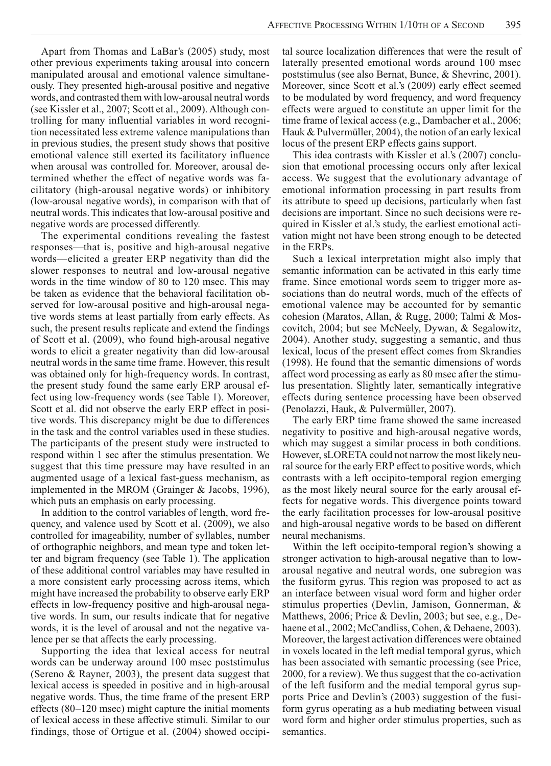Apart from Thomas and LaBar's (2005) study, most other previous experiments taking arousal into concern manipulated arousal and emotional valence simultaneously. They presented high-arousal positive and negative words, and contrasted them with low-arousal neutral words (see Kissler et al., 2007; Scott et al., 2009). Although controlling for many influential variables in word recognition necessitated less extreme valence manipulations than in previous studies, the present study shows that positive emotional valence still exerted its facilitatory influence when arousal was controlled for. Moreover, arousal determined whether the effect of negative words was facilitatory (high-arousal negative words) or inhibitory (low-arousal negative words), in comparison with that of neutral words. This indicates that low-arousal positive and negative words are processed differently.

The experimental conditions revealing the fastest responses—that is, positive and high-arousal negative words—elicited a greater ERP negativity than did the slower responses to neutral and low-arousal negative words in the time window of 80 to 120 msec. This may be taken as evidence that the behavioral facilitation observed for low-arousal positive and high-arousal negative words stems at least partially from early effects. As such, the present results replicate and extend the findings of Scott et al. (2009), who found high-arousal negative words to elicit a greater negativity than did low-arousal neutral words in the same time frame. However, this result was obtained only for high-frequency words. In contrast, the present study found the same early ERP arousal effect using low-frequency words (see Table 1). Moreover, Scott et al. did not observe the early ERP effect in positive words. This discrepancy might be due to differences in the task and the control variables used in these studies. The participants of the present study were instructed to respond within 1 sec after the stimulus presentation. We suggest that this time pressure may have resulted in an augmented usage of a lexical fast-guess mechanism, as implemented in the MROM (Grainger & Jacobs, 1996), which puts an emphasis on early processing.

In addition to the control variables of length, word frequency, and valence used by Scott et al. (2009), we also controlled for imageability, number of syllables, number of orthographic neighbors, and mean type and token letter and bigram frequency (see Table 1). The application of these additional control variables may have resulted in a more consistent early processing across items, which might have increased the probability to observe early ERP effects in low-frequency positive and high-arousal negative words. In sum, our results indicate that for negative words, it is the level of arousal and not the negative valence per se that affects the early processing.

Supporting the idea that lexical access for neutral words can be underway around 100 msec poststimulus (Sereno & Rayner, 2003), the present data suggest that lexical access is speeded in positive and in high-arousal negative words. Thus, the time frame of the present ERP effects (80–120 msec) might capture the initial moments of lexical access in these affective stimuli. Similar to our findings, those of Ortigue et al. (2004) showed occipital source localization differences that were the result of laterally presented emotional words around 100 msec poststimulus (see also Bernat, Bunce, & Shevrinc, 2001). Moreover, since Scott et al.'s (2009) early effect seemed to be modulated by word frequency, and word frequency effects were argued to constitute an upper limit for the time frame of lexical access (e.g., Dambacher et al., 2006; Hauk & Pulvermüller, 2004), the notion of an early lexical locus of the present ERP effects gains support.

This idea contrasts with Kissler et al.'s (2007) conclusion that emotional processing occurs only after lexical access. We suggest that the evolutionary advantage of emotional information processing in part results from its attribute to speed up decisions, particularly when fast decisions are important. Since no such decisions were required in Kissler et al.'s study, the earliest emotional activation might not have been strong enough to be detected in the ERPs.

Such a lexical interpretation might also imply that semantic information can be activated in this early time frame. Since emotional words seem to trigger more associations than do neutral words, much of the effects of emotional valence may be accounted for by semantic cohesion (Maratos, Allan, & Rugg, 2000; Talmi & Moscovitch, 2004; but see McNeely, Dywan, & Segalowitz, 2004). Another study, suggesting a semantic, and thus lexical, locus of the present effect comes from Skrandies (1998). He found that the semantic dimensions of words affect word processing as early as 80 msec after the stimulus presentation. Slightly later, semantically integrative effects during sentence processing have been observed (Penolazzi, Hauk, & Pulvermüller, 2007).

The early ERP time frame showed the same increased negativity to positive and high-arousal negative words, which may suggest a similar process in both conditions. However, sLORETA could not narrow the most likely neural source for the early ERP effect to positive words, which contrasts with a left occipito-temporal region emerging as the most likely neural source for the early arousal effects for negative words. This divergence points toward the early facilitation processes for low-arousal positive and high-arousal negative words to be based on different neural mechanisms.

Within the left occipito-temporal region's showing a stronger activation to high-arousal negative than to lowarousal negative and neutral words, one subregion was the fusiform gyrus. This region was proposed to act as an interface between visual word form and higher order stimulus properties (Devlin, Jamison, Gonnerman, & Matthews, 2006; Price & Devlin, 2003; but see, e.g., Dehaene et al., 2002; McCandliss, Cohen, & Dehaene, 2003). Moreover, the largest activation differences were obtained in voxels located in the left medial temporal gyrus, which has been associated with semantic processing (see Price, 2000, for a review). We thus suggest that the co-activation of the left fusiform and the medial temporal gyrus supports Price and Devlin's (2003) suggestion of the fusiform gyrus operating as a hub mediating between visual word form and higher order stimulus properties, such as semantics.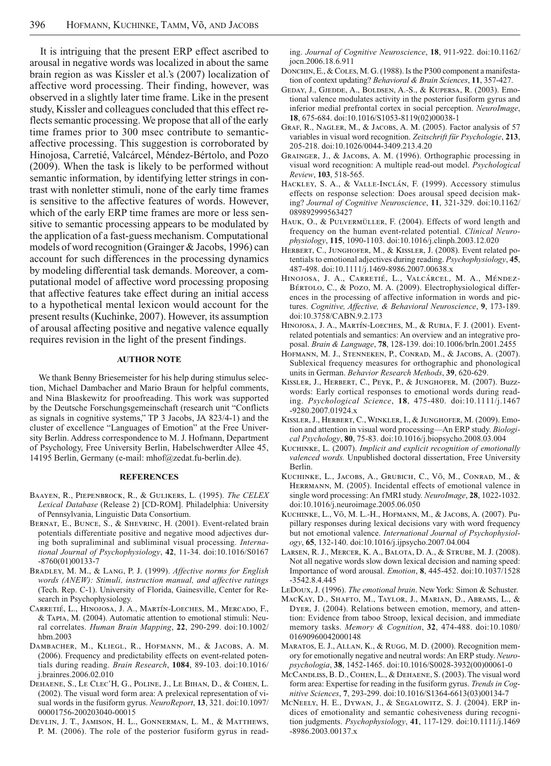It is intriguing that the present ERP effect ascribed to arousal in negative words was localized in about the same brain region as was Kissler et al.'s (2007) localization of affective word processing. Their finding, however, was observed in a slightly later time frame. Like in the present study, Kissler and colleagues concluded that this effect reflects semantic processing. We propose that all of the early time frames prior to 300 msec contribute to semantic affective processing. This suggestion is corroborated by Hinojosa, Carretié, Valcárcel, Méndez-Bértolo, and Pozo (2009). When the task is likely to be performed without semantic information, by identifying letter strings in contrast with nonletter stimuli, none of the early time frames is sensitive to the affective features of words. However, which of the early ERP time frames are more or less sensitive to semantic processing appears to be modulated by the application of a fast-guess mechanism. Computational models of word recognition (Grainger & Jacobs, 1996) can account for such differences in the processing dynamics by modeling differential task demands. Moreover, a computational model of affective word processing proposing that affective features take effect during an initial access to a hypothetical mental lexicon would account for the present results (Kuchinke, 2007). However, its assumption of arousal affecting positive and negative valence equally requires revision in the light of the present findings.

#### **AUTHOR NOTE**

We thank Benny Briesemeister for his help during stimulus selection, Michael Dambacher and Mario Braun for helpful comments, and Nina Blaskewitz for proofreading. This work was supported by the Deutsche Forschungsgemeinschaft (research unit "Conflicts as signals in cognitive systems," TP 3 Jacobs, JA 823/4-1) and the cluster of excellence "Languages of Emotion" at the Free University Berlin. Address correspondence to M. J. Hofmann, Department of Psychology, Free University Berlin, Habelschwerdter Allee 45, 14195 Berlin, Germany (e-mail: mhof@zedat.fu-berlin.de).

## **REFERENCES**

- Baayen, R., Piepenbrock, R., & Gulikers, L. (1995). *The CELEX Lexical Database* (Release 2) [CD-ROM]. Philadelphia: University of Pennsylvania, Linguistic Data Consortium.
- BERNAT, E., BUNCE, S., & SHEVRINC, H. (2001). Event-related brain potentials differentiate positive and negative mood adjectives during both supraliminal and subliminal visual processing. *International Journal of Psychophysiology*, **42**, 11-34. doi:10.1016/S0167 -8760(01)00133-7
- Bradley, M. M., & Lang, P. J. (1999). *Affective norms for English words (ANEW): Stimuli, instruction manual, and affective ratings* (Tech. Rep. C-1). University of Florida, Gainesville, Center for Research in Psychophysiology.
- Carretié, L., Hinojosa, J. A., Martín-Loeches, M., Mercado, F., & Tapia, M. (2004). Automatic attention to emotional stimuli: Neural correlates. *Human Brain Mapping*, 22, 290-299. doi:10.1002/ hbm.2003
- Dambacher, M., Kliegl, R., Hofmann, M., & Jacobs, A. M. (2006). Frequency and predictability effects on event-related potentials during reading. *Brain Research*, **1084**, 89-103. doi:10.1016/ j.brainres.2006.02.010
- Dehaene, S., Le Clec'H, G., Poline, J., Le Bihan, D., & Cohen, L. (2002). The visual word form area: A prelexical representation of visual words in the fusiform gyrus. *NeuroReport*, **13**, 321. doi:10.1097/ 00001756-200203040-00015
- Devlin, J. T., Jamison, H. L., Gonnerman, L. M., & Matthews, P. M. (2006). The role of the posterior fusiform gyrus in read-

ing. *Journal of Cognitive Neuroscience*, **18**, 911-922. doi:10.1162/ jocn.2006.18.6.911

- DONCHIN, E., & COLES, M. G. (1988). Is the P300 component a manifestation of context updating? *Behavioral & Brain Sciences*, **11**, 357-427.
- Geday, J., Gjedde, A., Boldsen, A.-S., & Kupersa, R. (2003). Emotional valence modulates activity in the posterior fusiform gyrus and inferior medial prefrontal cortex in social perception. *NeuroImage*, **18**, 675 -684. doi:10.1016/S1053-8119(02)00038-1
- GRAF, R., NAGLER, M., & JACOBS, A. M. (2005). Factor analysis of 57 variables in visual word recognition. *Zeitschrift für Psychologie*, **213**, 205-218. doi:10.1026/0044-3409.213.4.20
- GRAINGER, J., & JACOBS, A. M. (1996). Orthographic processing in visual word recognition: A multiple read-out model. *Psychological Review*, **103**, 518-565.
- Hackley, S. A., & Valle-Inclán, F. (1999). Accessory stimulus effects on response selection: Does arousal speed decision making? *Journal of Cognitive Neuroscience*, **11**, 321-329. doi:10.1162/ 089892999563427
- Hauk, O., & Pulvermüller, F. (2004). Effects of word length and frequency on the human event-related potential. *Clinical Neurophysiology*, **115**, 1090-1103. doi:10.1016/j.clinph.2003.12.020
- HERBERT, C., JUNGHOFER, M., & KISSLER, J. (2008). Event related potentials to emotional adjectives during reading. *Psychophysiology*, **45**, 487-498. doi:10.1111/j.1469-8986.2007.00638.x
- Hinojosa, J. A., Carretié, L., Valcárcel, M. A., Méndez- BÉRTOLO, C., & POZO, M. A. (2009). Electrophysiological differences in the processing of affective information in words and pictures. *Cognitive, Affective, & Behavioral Neuroscience*, **9**, 173-189. doi:10.3758/CABN.9.2.173
- Hinojosa, J. A., Martín-Loeches, M., & Rubia, F. J. (2001). Eventrelated potentials and semantics: An overview and an integrative proposal. *Brain & Language*, **78**, 128-139. doi:10.1006/brln.2001.2455
- Hofmann, M. J., Stenneken, P., Conrad, M., & Jacobs, A. (2007). Sublexical frequency measures for orthographic and phonological units in German. *Behavior Research Methods*, **39**, 620-629.
- Kissler, J., Herbert, C., Peyk, P., & Junghofer, M. (2007). Buzzwords: Early cortical responses to emotional words during reading. *Psychological Science*, **18**, 475-480. doi:10.1111/j.1467 -9280.2007.01924.x
- Kissler, J., Herbert, C., Winkler, I., & Junghofer, M. (2009). Emotion and attention in visual word processing—An ERP study. *Biological Psychology*, **80**, 75- 83. doi:10.1016/j.biopsycho.2008.03.004
- Kuchinke, L. (2007). *Implicit and explicit recognition of emotionally valenced words.* Unpublished doctoral dissertation, Free University Berlin.
- Kuchinke, L., Jacobs, A., Grubich, C., Võ, M., Conrad, M., & HERRMANN, M. (2005). Incidental effects of emotional valence in single word processing: An fMRI study. *NeuroImage*, **28**, 1022-1032. doi:10.1016/j.neuroimage.2005.06.050
- Kuchinke, L., Võ, M. L.-H., Hofmann, M., & Jacobs, A. (2007). Pupillary responses during lexical decisions vary with word frequency but not emotional valence. *International Journal of Psychophysiology*, **65**, 132-140. doi:10.1016/j.ijpsycho.2007.04.004
- Larsen, R. J., Mercer, K. A., Balota, D. A., & Strube, M. J. (2008). Not all negative words slow down lexical decision and naming speed: Importance of word arousal. *Emotion*, **8**, 445-452. doi:10.1037/1528 -3542.8.4.445

LeDoux, J. (1996). *The emotional brain*. New York: Simon & Schuster.

- MacKay, D., Shafto, M., Taylor, J., Marian, D., Abrams, L., & Dyer, J. (2004). Relations between emotion, memory, and attention: Evidence from taboo Stroop, lexical decision, and immediate memory tasks. *Memory & Cognition*, **32**, 474-488. doi:10.1080/ 01690960042000148
- Maratos, E. J., Allan, K., & Rugg, M. D. (2000). Recognition memory for emotionally negative and neutral words: An ERP study. *Neuropsychologia*, **38**, 1452-1465. doi:10.1016/S0028-3932(00)00061-0
- McCandliss, B. D., Cohen, L., & Dehaene, S. (2003). The visual word form area: Expertise for reading in the fusiform gyrus. *Trends in Cognitive Sciences*, **7**, 293-299. doi:10.1016/S1364-6613(03)00134-7
- McNeely, H. E., Dywan, J., & Segalowitz, S. J. (2004). ERP indices of emotionality and semantic cohesiveness during recognition judgments. *Psychophysiology*, **41**, 117-129. doi:10.1111/j.1469 -8986.2003.00137.x